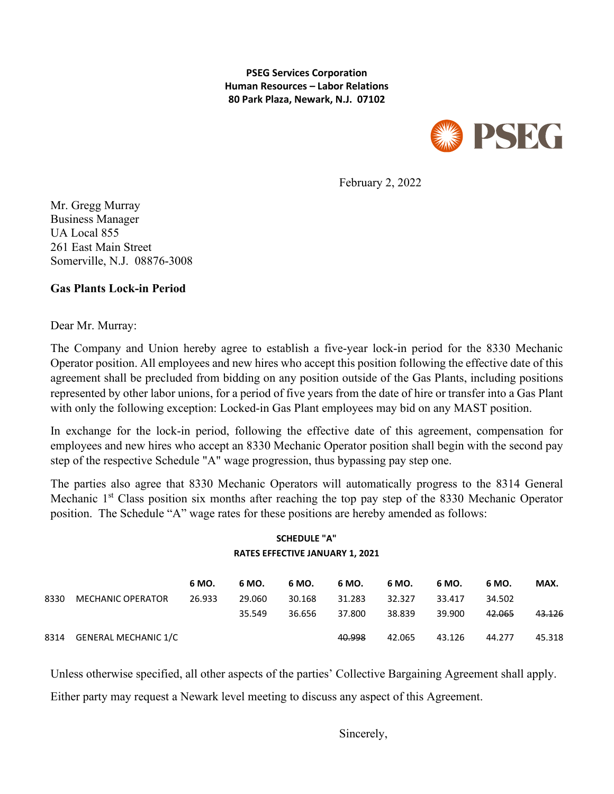**PSEG Services Corporation Human Resources – Labor Relations 80 Park Plaza, Newark, N.J. 07102**



February 2, 2022

Mr. Gregg Murray Business Manager UA Local 855 261 East Main Street Somerville, N.J. 08876-3008

## **Gas Plants Lock-in Period**

Dear Mr. Murray:

The Company and Union hereby agree to establish a five-year lock-in period for the 8330 Mechanic Operator position. All employees and new hires who accept this position following the effective date of this agreement shall be precluded from bidding on any position outside of the Gas Plants, including positions represented by other labor unions, for a period of five years from the date of hire or transfer into a Gas Plant with only the following exception: Locked-in Gas Plant employees may bid on any MAST position.

In exchange for the lock-in period, following the effective date of this agreement, compensation for employees and new hires who accept an 8330 Mechanic Operator position shall begin with the second pay step of the respective Schedule "A" wage progression, thus bypassing pay step one.

The parties also agree that 8330 Mechanic Operators will automatically progress to the 8314 General Mechanic 1<sup>st</sup> Class position six months after reaching the top pay step of the 8330 Mechanic Operator position. The Schedule "A" wage rates for these positions are hereby amended as follows:

## **SCHEDULE "A" RATES EFFECTIVE JANUARY 1, 2021**

|      |                      | 6 MO.  | 6 MO.  | 6 MO.  | 6 MO.  | 6 MO.  | 6 MO.  | 6 MO.  | MAX.   |
|------|----------------------|--------|--------|--------|--------|--------|--------|--------|--------|
| 8330 | MECHANIC OPERATOR    | 26.933 | 29.060 | 30.168 | 31.283 | 32.327 | 33.417 | 34.502 |        |
|      |                      |        | 35.549 | 36.656 | 37.800 | 38.839 | 39.900 | 42.065 | 43.126 |
| 8314 | GENERAL MECHANIC 1/C |        |        |        | 40.998 | 42.065 | 43.126 | 44.277 | 45.318 |

Unless otherwise specified, all other aspects of the parties' Collective Bargaining Agreement shall apply. Either party may request a Newark level meeting to discuss any aspect of this Agreement.

Sincerely,